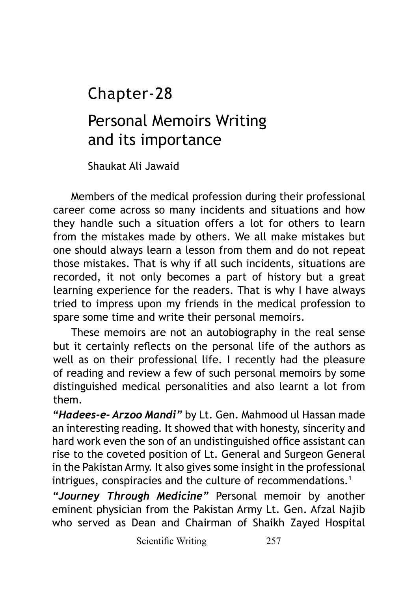## Chapter-28

## Personal Memoirs Writing and its importance

Shaukat Ali Jawaid

Members of the medical profession during their professional career come across so many incidents and situations and how they handle such a situation offers a lot for others to learn from the mistakes made by others. We all make mistakes but one should always learn a lesson from them and do not repeat those mistakes. That is why if all such incidents, situations are recorded, it not only becomes a part of history but a great learning experience for the readers. That is why I have always tried to impress upon my friends in the medical profession to spare some time and write their personal memoirs.

These memoirs are not an autobiography in the real sense but it certainly reflects on the personal life of the authors as well as on their professional life. I recently had the pleasure of reading and review a few of such personal memoirs by some distinguished medical personalities and also learnt a lot from them.

*"Hadees-e- Arzoo Mandi"* by Lt. Gen. Mahmood ul Hassan made an interesting reading. It showed that with honesty, sincerity and hard work even the son of an undistinguished office assistant can rise to the coveted position of Lt. General and Surgeon General in the Pakistan Army. It also gives some insight in the professional intrigues, conspiracies and the culture of recommendations.<sup>1</sup>

*"Journey Through Medicine"* Personal memoir by another eminent physician from the Pakistan Army Lt. Gen. Afzal Najib who served as Dean and Chairman of Shaikh Zayed Hospital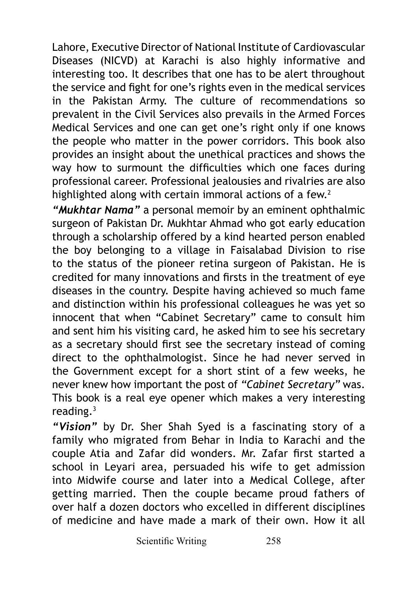Lahore, Executive Director of National Institute of Cardiovascular Diseases (NICVD) at Karachi is also highly informative and interesting too. It describes that one has to be alert throughout the service and fight for one's rights even in the medical services in the Pakistan Army. The culture of recommendations so prevalent in the Civil Services also prevails in the Armed Forces Medical Services and one can get one's right only if one knows the people who matter in the power corridors. This book also provides an insight about the unethical practices and shows the way how to surmount the difficulties which one faces during professional career. Professional jealousies and rivalries are also highlighted along with certain immoral actions of a few. $2$ 

*"Mukhtar Nama"* a personal memoir by an eminent ophthalmic surgeon of Pakistan Dr. Mukhtar Ahmad who got early education through a scholarship offered by a kind hearted person enabled the boy belonging to a village in Faisalabad Division to rise to the status of the pioneer retina surgeon of Pakistan. He is credited for many innovations and firsts in the treatment of eye diseases in the country. Despite having achieved so much fame and distinction within his professional colleagues he was yet so innocent that when "Cabinet Secretary" came to consult him and sent him his visiting card, he asked him to see his secretary as a secretary should first see the secretary instead of coming direct to the ophthalmologist. Since he had never served in the Government except for a short stint of a few weeks, he never knew how important the post of *"Cabinet Secretary"* was. This book is a real eye opener which makes a very interesting reading.3

*"Vision"* by Dr. Sher Shah Syed is a fascinating story of a family who migrated from Behar in India to Karachi and the couple Atia and Zafar did wonders. Mr. Zafar first started a school in Leyari area, persuaded his wife to get admission into Midwife course and later into a Medical College, after getting married. Then the couple became proud fathers of over half a dozen doctors who excelled in different disciplines of medicine and have made a mark of their own. How it all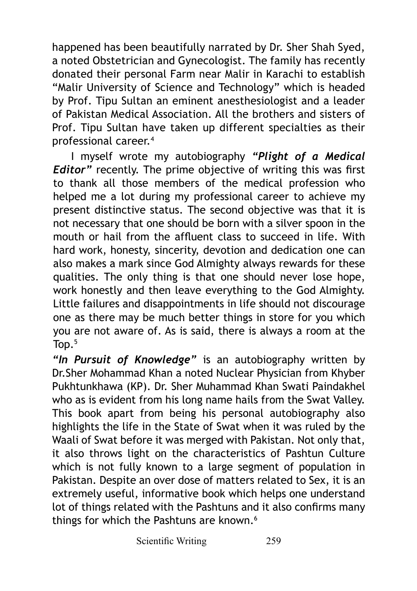happened has been beautifully narrated by Dr. Sher Shah Syed, a noted Obstetrician and Gynecologist. The family has recently donated their personal Farm near Malir in Karachi to establish "Malir University of Science and Technology" which is headed by Prof. Tipu Sultan an eminent anesthesiologist and a leader of Pakistan Medical Association. All the brothers and sisters of Prof. Tipu Sultan have taken up different specialties as their professional career.4

I myself wrote my autobiography *"Plight of a Medical Editor"* recently. The prime objective of writing this was first to thank all those members of the medical profession who helped me a lot during my professional career to achieve my present distinctive status. The second objective was that it is not necessary that one should be born with a silver spoon in the mouth or hail from the affluent class to succeed in life. With hard work, honesty, sincerity, devotion and dedication one can also makes a mark since God Almighty always rewards for these qualities. The only thing is that one should never lose hope, work honestly and then leave everything to the God Almighty. Little failures and disappointments in life should not discourage one as there may be much better things in store for you which you are not aware of. As is said, there is always a room at the Top.<sup>5</sup>

*"In Pursuit of Knowledge"* is an autobiography written by Dr.Sher Mohammad Khan a noted Nuclear Physician from Khyber Pukhtunkhawa (KP). Dr. Sher Muhammad Khan Swati Paindakhel who as is evident from his long name hails from the Swat Valley. This book apart from being his personal autobiography also highlights the life in the State of Swat when it was ruled by the Waali of Swat before it was merged with Pakistan. Not only that, it also throws light on the characteristics of Pashtun Culture which is not fully known to a large segment of population in Pakistan. Despite an over dose of matters related to Sex, it is an extremely useful, informative book which helps one understand lot of things related with the Pashtuns and it also confirms many things for which the Pashtuns are known.<sup>6</sup>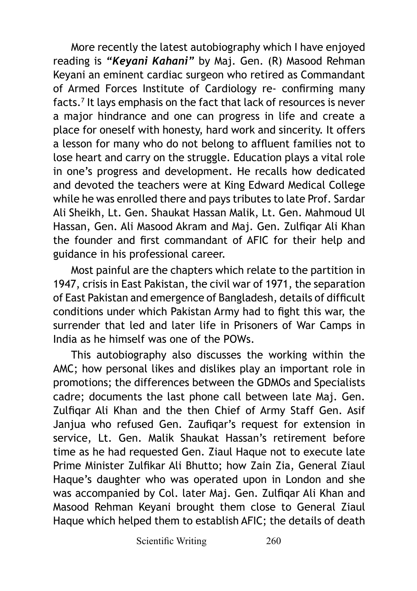More recently the latest autobiography which I have enjoyed reading is *"Keyani Kahani"* by Maj. Gen. (R) Masood Rehman Keyani an eminent cardiac surgeon who retired as Commandant of Armed Forces Institute of Cardiology re- confirming many facts.7 It lays emphasis on the fact that lack of resources is never a major hindrance and one can progress in life and create a place for oneself with honesty, hard work and sincerity. It offers a lesson for many who do not belong to affluent families not to lose heart and carry on the struggle. Education plays a vital role in one's progress and development. He recalls how dedicated and devoted the teachers were at King Edward Medical College while he was enrolled there and pays tributes to late Prof. Sardar Ali Sheikh, Lt. Gen. Shaukat Hassan Malik, Lt. Gen. Mahmoud Ul Hassan, Gen. Ali Masood Akram and Maj. Gen. Zulfiqar Ali Khan the founder and first commandant of AFIC for their help and guidance in his professional career.

Most painful are the chapters which relate to the partition in 1947, crisis in East Pakistan, the civil war of 1971, the separation of East Pakistan and emergence of Bangladesh, details of difficult conditions under which Pakistan Army had to fight this war, the surrender that led and later life in Prisoners of War Camps in India as he himself was one of the POWs.

This autobiography also discusses the working within the AMC; how personal likes and dislikes play an important role in promotions; the differences between the GDMOs and Specialists cadre; documents the last phone call between late Maj. Gen. Zulfiqar Ali Khan and the then Chief of Army Staff Gen. Asif Janjua who refused Gen. Zaufiqar's request for extension in service, Lt. Gen. Malik Shaukat Hassan's retirement before time as he had requested Gen. Ziaul Haque not to execute late Prime Minister Zulfikar Ali Bhutto; how Zain Zia, General Ziaul Haque's daughter who was operated upon in London and she was accompanied by Col. later Mai. Gen. Zulfigar Ali Khan and Masood Rehman Keyani brought them close to General Ziaul Haque which helped them to establish AFIC; the details of death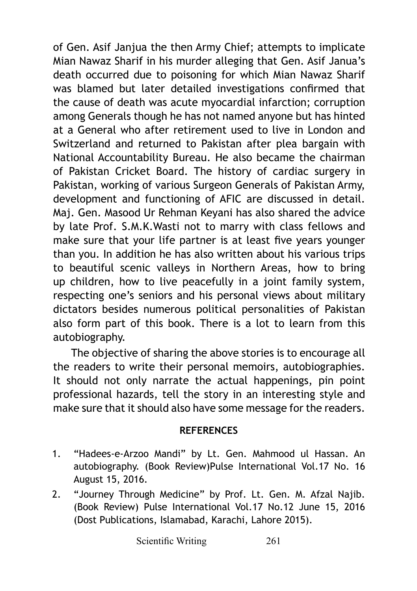of Gen. Asif Janjua the then Army Chief; attempts to implicate Mian Nawaz Sharif in his murder alleging that Gen. Asif Janua's death occurred due to poisoning for which Mian Nawaz Sharif was blamed but later detailed investigations confirmed that the cause of death was acute myocardial infarction; corruption among Generals though he has not named anyone but has hinted at a General who after retirement used to live in London and Switzerland and returned to Pakistan after plea bargain with National Accountability Bureau. He also became the chairman of Pakistan Cricket Board. The history of cardiac surgery in Pakistan, working of various Surgeon Generals of Pakistan Army, development and functioning of AFIC are discussed in detail. Maj. Gen. Masood Ur Rehman Keyani has also shared the advice by late Prof. S.M.K.Wasti not to marry with class fellows and make sure that your life partner is at least five years younger than you. In addition he has also written about his various trips to beautiful scenic valleys in Northern Areas, how to bring up children, how to live peacefully in a joint family system, respecting one's seniors and his personal views about military dictators besides numerous political personalities of Pakistan also form part of this book. There is a lot to learn from this autobiography.

The objective of sharing the above stories is to encourage all the readers to write their personal memoirs, autobiographies. It should not only narrate the actual happenings, pin point professional hazards, tell the story in an interesting style and make sure that it should also have some message for the readers.

## **REFERENCES**

- 1. "Hadees-e-Arzoo Mandi" by Lt. Gen. Mahmood ul Hassan. An autobiography. (Book Review)Pulse International Vol.17 No. 16 August 15, 2016.
- 2. "Journey Through Medicine" by Prof. Lt. Gen. M. Afzal Najib. (Book Review) Pulse International Vol.17 No.12 June 15, 2016 (Dost Publications, Islamabad, Karachi, Lahore 2015).